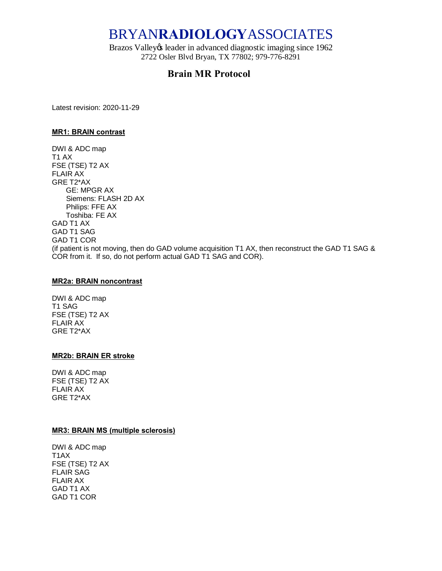# BRYAN**RADIOLOGY**ASSOCIATES

Brazos Valley & leader in advanced diagnostic imaging since 1962 2722 Osler Blvd Bryan, TX 77802; 979-776-8291

## **Brain MR Protocol**

Latest revision: 2020-11-29

#### **MR1: BRAIN contrast**

DWI & ADC map T1 AX FSE (TSE) T2 AX FLAIR AX GRE T2\*AX GE: MPGR AX Siemens: FLASH 2D AX Philips: FFE AX Toshiba: FE AX GAD T1 AX GAD T1 SAG GAD T1 COR (if patient is not moving, then do GAD volume acquisition T1 AX, then reconstruct the GAD T1 SAG & COR from it. If so, do not perform actual GAD T1 SAG and COR).

#### **MR2a: BRAIN noncontrast**

DWI & ADC map T1 SAG FSE (TSE) T2 AX FLAIR AX GRE T2\*AX

#### **MR2b: BRAIN ER stroke**

DWI & ADC map FSE (TSE) T2 AX FLAIR AX GRE T2\*AX

#### **MR3: BRAIN MS (multiple sclerosis)**

DWI & ADC map T1AX FSE (TSE) T2 AX FLAIR SAG FLAIR AX GAD T1 AX GAD T1 COR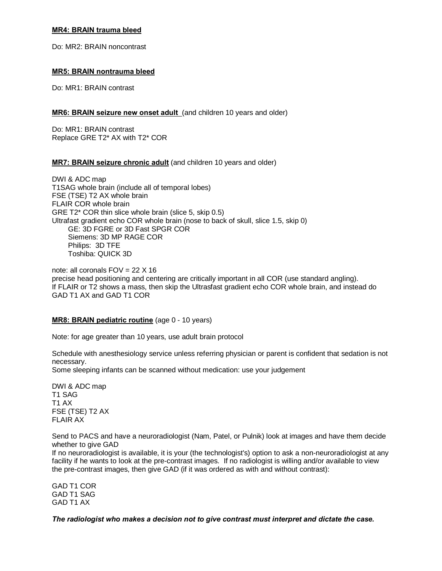## **MR4: BRAIN trauma bleed**

Do: MR2: BRAIN noncontrast

#### **MR5: BRAIN nontrauma bleed**

Do: MR1: BRAIN contrast

## **MR6: BRAIN seizure new onset adult** (and children 10 years and older)

Do: MR1: BRAIN contrast Replace GRE T2\* AX with T2\* COR

## **MR7: BRAIN seizure chronic adult** (and children 10 years and older)

DWI & ADC map T1SAG whole brain (include all of temporal lobes) FSE (TSE) T2 AX whole brain FLAIR COR whole brain GRE T2\* COR thin slice whole brain (slice 5, skip 0.5) Ultrafast gradient echo COR whole brain (nose to back of skull, slice 1.5, skip 0) GE: 3D FGRE or 3D Fast SPGR COR Siemens: 3D MP RAGE COR Philips: 3D TFE Toshiba: QUICK 3D

note: all coronals  $FOV = 22 X 16$ precise head positioning and centering are critically important in all COR (use standard angling). If FLAIR or T2 shows a mass, then skip the Ultrasfast gradient echo COR whole brain, and instead do GAD T1 AX and GAD T1 COR

#### **MR8: BRAIN pediatric routine** (age 0 - 10 years)

Note: for age greater than 10 years, use adult brain protocol

Schedule with anesthesiology service unless referring physician or parent is confident that sedation is not necessary.

Some sleeping infants can be scanned without medication: use your judgement

DWI & ADC map T1 SAG T1 AX FSE (TSE) T2 AX FLAIR AX

Send to PACS and have a neuroradiologist (Nam, Patel, or Pulnik) look at images and have them decide whether to give GAD

If no neuroradiologist is available, it is your (the technologist's) option to ask a non-neuroradiologist at any facility if he wants to look at the pre-contrast images. If no radiologist is willing and/or available to view the pre-contrast images, then give GAD (if it was ordered as with and without contrast):

GAD T1 COR GAD T1 SAG GAD T1 AX

*The radiologist who makes a decision not to give contrast must interpret and dictate the case.*